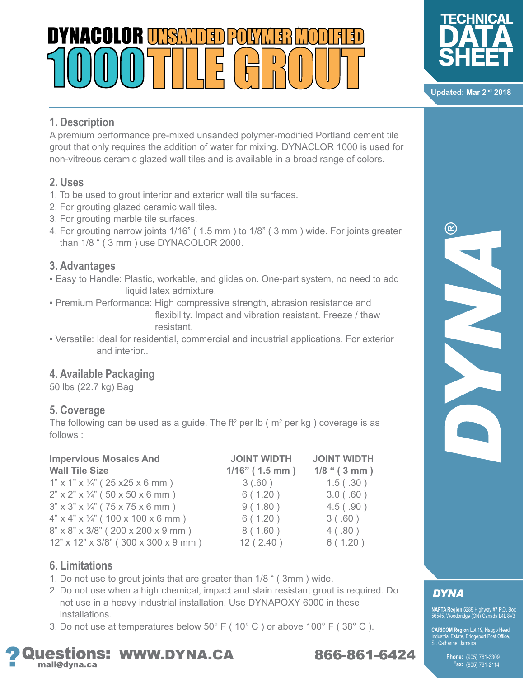# NYNACALAR II 1541



A premium performance pre-mixed unsanded polymer-modified Portland cement tile grout that only requires the addition of water for mixing. DYNACLOR 1000 is used for non-vitreous ceramic glazed wall tiles and is available in a broad range of colors.

#### **2. Uses**

- 1. To be used to grout interior and exterior wall tile surfaces.
- 2. For grouting glazed ceramic wall tiles.
- 3. For grouting marble tile surfaces.
- 4. For grouting narrow joints 1/16" ( 1.5 mm ) to 1/8" ( 3 mm ) wide. For joints greater than 1/8 " ( 3 mm ) use DYNACOLOR 2000.

#### **3. Advantages**

- **Easy to Handle: Plastic, workable, and glides on. One-part system, no need to add** liquid latex admixture.
- Premium Performance: High compressive strength, abrasion resistance and flexibility. Impact and vibration resistant. Freeze / thaw resistant.
- Versatile: Ideal for residential, commercial and industrial applications. For exterior and interior..

#### **4. Available Packaging**

50 lbs (22.7 kg) Bag

#### **5. Coverage**

The following can be used as a guide. The ft<sup>2</sup> per lb ( $m<sup>2</sup>$  per kg) coverage is as follows :

| <b>Impervious Mosaics And</b>                                         | <b>JOINT WIDTH</b> | <b>JOINT WIDTH</b> |
|-----------------------------------------------------------------------|--------------------|--------------------|
| <b>Wall Tile Size</b>                                                 | $1/16"$ (1.5 mm)   | $1/8$ " (3 mm)     |
| $1"$ x $1"$ x $\frac{1}{4"}$ ( 25 x 25 x 6 mm )                       | 3(.60)             | 1.5( .30)          |
| $2"$ x $2"$ x $\frac{1}{4}"$ (50 x 50 x 6 mm)                         | 6(1.20)            | 3.0(0.60)          |
| $3" \times 3" \times \frac{1}{4"} (75 \times 75 \times 6 \text{ mm})$ | 9(1.80)            | 4.5( .90)          |
| $4"$ x $4"$ x $\frac{1}{4}"$ (100 x 100 x 6 mm)                       | 6(1.20)            | 3(.60)             |
| 8" x 8" x 3/8" (200 x 200 x 9 mm)                                     | 8(1.60)            | 4(.80)             |
| $12"$ x $12"$ x $3/8"$ ( $300$ x $300$ x $9$ mm )                     | 12(2.40)           | 6(1.20)            |

#### **6. Limitations**

- 1. Do not use to grout joints that are greater than 1/8 " ( 3mm ) wide.
- 2. Do not use when a high chemical, impact and stain resistant grout is required. Do not use in a heavy industrial installation. Use DYNAPOXY 6000 in these installations.
- 3. Do not use at temperatures below 50° F ( 10° C ) or above 100° F ( 38° C ).



## **DYNA**

**NAFTA Region** 5289 Highway #7 P.O. Box 56545, Woodbridge (ON) Canada L4L 8V3

**CARICOM Region** Lot 19, Naggo Head<br>Industrial Estate, Bridgeport Post Office,<br>St. Catherine, Jamaica

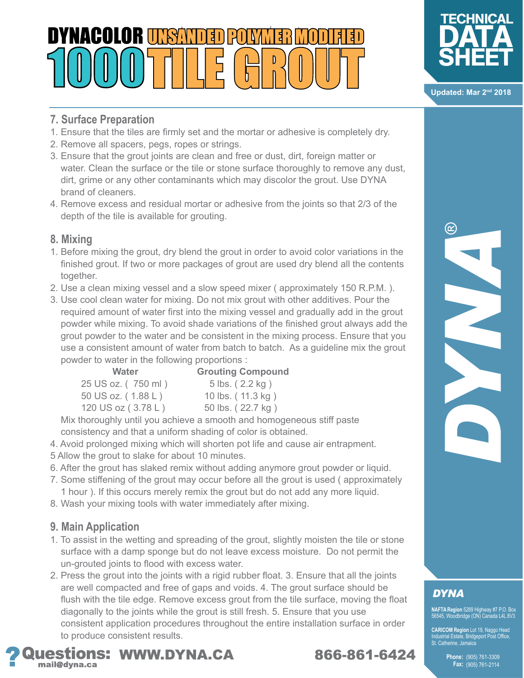## DYNACOLOR II **1591** J.



**Updated: Mar 2nd 2018**

 $^\copyright$ 

#### **7. Surface Preparation**

- 1. Ensure that the tiles are firmly set and the mortar or adhesive is completely dry.
- 2. Remove all spacers, pegs, ropes or strings.
- 3. Ensure that the grout joints are clean and free or dust, dirt, foreign matter or water. Clean the surface or the tile or stone surface thoroughly to remove any dust, dirt, grime or any other contaminants which may discolor the grout. Use DYNA brand of cleaners.
- 4. Remove excess and residual mortar or adhesive from the joints so that 2/3 of the depth of the tile is available for grouting.

#### **8. Mixing**

- 1. Before mixing the grout, dry blend the grout in order to avoid color variations in the finished grout. If two or more packages of grout are used dry blend all the contents together.
- 2. Use a clean mixing vessel and a slow speed mixer ( approximately 150 R.P.M. ).
- 3. Use cool clean water for mixing. Do not mix grout with other additives. Pour the required amount of water first into the mixing vessel and gradually add in the grout powder while mixing. To avoid shade variations of the finished grout always add the grout powder to the water and be consistent in the mixing process. Ensure that you use a consistent amount of water from batch to batch. As a guideline mix the grout powder to water in the following proportions :

| <b>Water</b>       | <b>Grouting Compound</b> |
|--------------------|--------------------------|
| 25 US oz. (750 ml) | 5 lbs. (2.2 kg)          |
| 50 US oz. (1.88 L) | 10 lbs. (11.3 kg)        |
| 120 US oz (3.78 L) | 50 lbs. (22.7 kg)        |

 Mix thoroughly until you achieve a smooth and homogeneous stiff paste consistency and that a uniform shading of color is obtained.

- 4. Avoid prolonged mixing which will shorten pot life and cause air entrapment.
- 5 Allow the grout to slake for about 10 minutes.
- 6. After the grout has slaked remix without adding anymore grout powder or liquid.
- 7. Some stiffening of the grout may occur before all the grout is used ( approximately 1 hour ). If this occurs merely remix the grout but do not add any more liquid.
- 8. Wash your mixing tools with water immediately after mixing.

#### **9. Main Application**

- 1. To assist in the wetting and spreading of the grout, slightly moisten the tile or stone surface with a damp sponge but do not leave excess moisture. Do not permit the un-grouted joints to flood with excess water.
- 2. Press the grout into the joints with a rigid rubber float. 3. Ensure that all the joints are well compacted and free of gaps and voids. 4. The grout surface should be flush with the tile edge. Remove excess grout from the tile surface, moving the float diagonally to the joints while the grout is still fresh. 5. Ensure that you use consistent application procedures throughout the entire installation surface in order to produce consistent results.



## **DYNA**

**NAFTA Region** 5289 Highway #7 P.O. Box 56545, Woodbridge (ON) Canada L4L 8V3

**CARICOM Region** Lot 19, Naggo Head<br>Industrial Estate, Bridgeport Post Office,<br>St. Catherine, Jamaica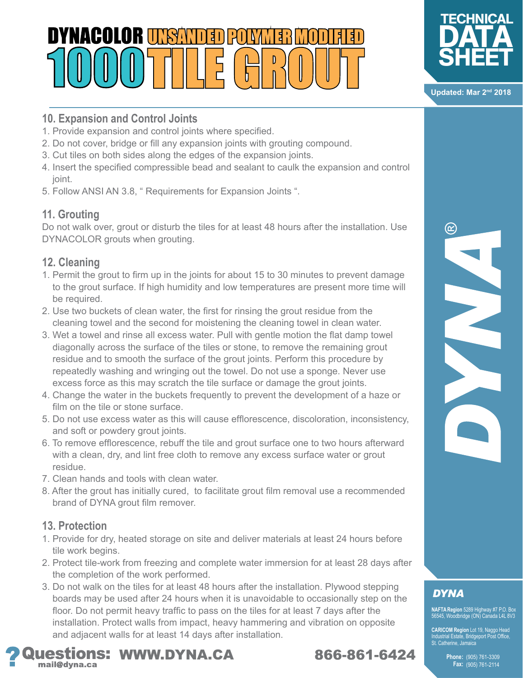## DYNACOLOR TI **1541** J.



**Updated: Mar 2nd 2018**

### **10. Expansion and Control Joints**

- 1. Provide expansion and control joints where specified.
- 2. Do not cover, bridge or fill any expansion joints with grouting compound.
- 3. Cut tiles on both sides along the edges of the expansion joints.
- 4. Insert the specified compressible bead and sealant to caulk the expansion and control joint.
- 5. Follow ANSI AN 3.8, " Requirements for Expansion Joints ".

### **11. Grouting**

Do not walk over, grout or disturb the tiles for at least 48 hours after the installation. Use DYNACOLOR grouts when grouting.

### **12. Cleaning**

- 1. Permit the grout to firm up in the joints for about 15 to 30 minutes to prevent damage to the grout surface. If high humidity and low temperatures are present more time will be required.
- 2. Use two buckets of clean water, the first for rinsing the grout residue from the cleaning towel and the second for moistening the cleaning towel in clean water.
- 3. Wet a towel and rinse all excess water. Pull with gentle motion the flat damp towel diagonally across the surface of the tiles or stone, to remove the remaining grout residue and to smooth the surface of the grout joints. Perform this procedure by repeatedly washing and wringing out the towel. Do not use a sponge. Never use excess force as this may scratch the tile surface or damage the grout joints.
- 4. Change the water in the buckets frequently to prevent the development of a haze or film on the tile or stone surface.
- 5. Do not use excess water as this will cause efflorescence, discoloration, inconsistency, and soft or powdery grout joints.
- 6. To remove efflorescence, rebuff the tile and grout surface one to two hours afterward with a clean, dry, and lint free cloth to remove any excess surface water or grout residue.
- 7. Clean hands and tools with clean water.
- 8. After the grout has initially cured, to facilitate grout film removal use a recommended brand of DYNA grout film remover.

### **13. Protection**

- 1. Provide for dry, heated storage on site and deliver materials at least 24 hours before tile work begins.
- 2. Protect tile-work from freezing and complete water immersion for at least 28 days after the completion of the work performed.
- 3. Do not walk on the tiles for at least 48 hours after the installation. Plywood stepping boards may be used after 24 hours when it is unavoidable to occasionally step on the floor. Do not permit heavy traffic to pass on the tiles for at least 7 days after the installation. Protect walls from impact, heavy hammering and vibration on opposite and adjacent walls for at least 14 days after installation.



## **DYNA**

**NAFTA Region** 5289 Highway #7 P.O. Box 56545, Woodbridge (ON) Canada L4L 8V3

**CARICOM Region** Lot 19, Naggo Head<br>Industrial Estate, Bridgeport Post Office,<br>St. Catherine, Jamaica